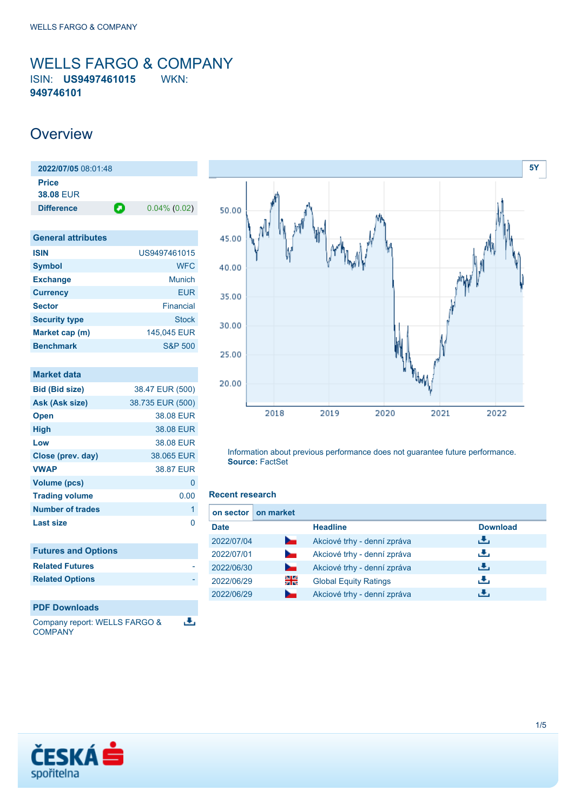### <span id="page-0-0"></span>WELLS FARGO & COMPANY ISIN: **US9497461015** WKN: **949746101**

### **Overview**

| 2022/07/05 08:01:48 |   |                 |
|---------------------|---|-----------------|
| <b>Price</b>        |   |                 |
| <b>38.08 FUR</b>    |   |                 |
| <b>Difference</b>   | О | $0.04\%$ (0.02) |
|                     |   |                 |

| <b>General attributes</b> |                    |
|---------------------------|--------------------|
| <b>ISIN</b>               | US9497461015       |
| <b>Symbol</b>             | <b>WFC</b>         |
| <b>Exchange</b>           | Munich             |
| <b>Currency</b>           | FUR                |
| <b>Sector</b>             | <b>Financial</b>   |
| <b>Security type</b>      | <b>Stock</b>       |
| Market cap (m)            | 145,045 EUR        |
| <b>Benchmark</b>          | <b>S&amp;P 500</b> |

| <b>Market data</b>            |                  |
|-------------------------------|------------------|
| <b>Bid (Bid size)</b>         | 38.47 EUR (500)  |
| Ask (Ask size)                | 38.735 EUR (500) |
| <b>Open</b>                   | 38.08 EUR        |
| <b>High</b>                   | 38.08 EUR        |
| Low                           | 38.08 EUR        |
| Close (prev. day)             | 38.065 EUR       |
| <b>VWAP</b>                   | 38.87 EUR        |
| <b>Volume (pcs)</b>           | 0                |
| <b>Trading volume</b>         | 0.00             |
| <b>Number of trades</b>       | 1                |
| <b>Last size</b>              | 0                |
|                               |                  |
| <b>Futures and Options</b>    |                  |
| <b>Related Futures</b>        |                  |
| <b>Related Options</b>        |                  |
|                               |                  |
| <b>PDF Downloads</b>          |                  |
| Company roport: WELLS EADOO 8 |                  |





Information about previous performance does not guarantee future performance. **Source:** FactSet

#### **Recent research**

| on sector   | on market      |                              |                 |
|-------------|----------------|------------------------------|-----------------|
| <b>Date</b> |                | <b>Headline</b>              | <b>Download</b> |
| 2022/07/04  | <b>Service</b> | Akciové trhy - denní zpráva  | ريل             |
| 2022/07/01  | $\sim$         | Akciové trhy - denní zpráva  | رنان            |
| 2022/06/30  | <b>Service</b> | Akciové trhy - denní zpráva  | J.              |
| 2022/06/29  | 꾉뚢             | <b>Global Equity Ratings</b> | æ,              |
| 2022/06/29  | <b>Service</b> | Akciové trhy - denní zpráva  |                 |

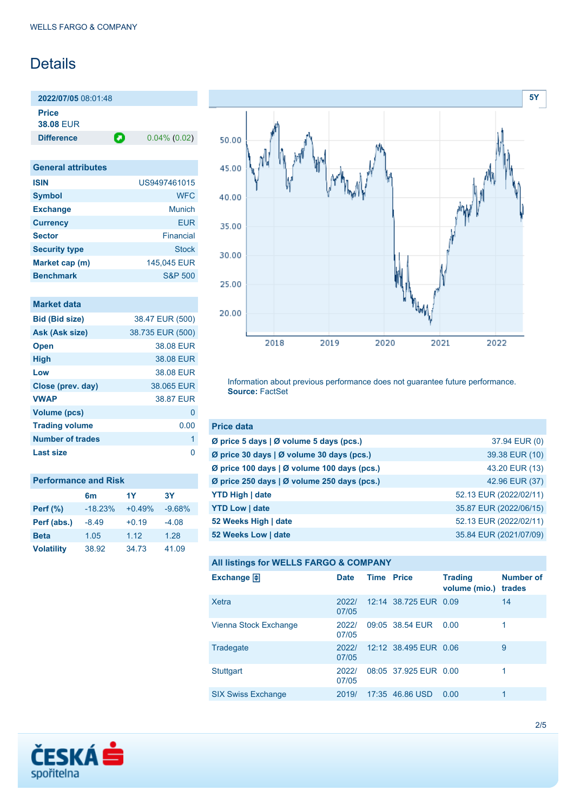## **Details**

**2022/07/05** 08:01:48 **Price**

**38.08** EUR

**Difference 0.04% (0.02)** 

| <b>General attributes</b> |                    |
|---------------------------|--------------------|
| <b>ISIN</b>               | US9497461015       |
| <b>Symbol</b>             | <b>WFC</b>         |
| <b>Exchange</b>           | Munich             |
| <b>Currency</b>           | EUR                |
| <b>Sector</b>             | Financial          |
| <b>Security type</b>      | Stock              |
| Market cap (m)            | 145,045 EUR        |
| <b>Benchmark</b>          | <b>S&amp;P 500</b> |

| <b>Market data</b>      |                  |
|-------------------------|------------------|
| <b>Bid (Bid size)</b>   | 38.47 EUR (500)  |
| Ask (Ask size)          | 38.735 EUR (500) |
| <b>Open</b>             | 38.08 EUR        |
| <b>High</b>             | 38.08 EUR        |
| Low                     | 38.08 EUR        |
| Close (prev. day)       | 38.065 EUR       |
| <b>VWAP</b>             | 38.87 FUR        |
| <b>Volume (pcs)</b>     | 0                |
| <b>Trading volume</b>   | 0.00             |
| <b>Number of trades</b> | 1                |
| Last size               |                  |

| <b>Performance and Risk</b> |           |          |           |  |
|-----------------------------|-----------|----------|-----------|--|
|                             | 6m        | 1Y       | <b>3Y</b> |  |
| <b>Perf</b> (%)             | $-18.23%$ | $+0.49%$ | $-9.68%$  |  |
| Perf (abs.)                 | $-8.49$   | $+0.19$  | $-4.08$   |  |
| <b>Beta</b>                 | 1.05      | 1.12     | 1.28      |  |
| <b>Volatility</b>           | 38.92     | 34.73    | 41.09     |  |



Information about previous performance does not guarantee future performance. **Source:** FactSet

| <b>Price data</b>                                         |                        |
|-----------------------------------------------------------|------------------------|
| $\emptyset$ price 5 days $\emptyset$ volume 5 days (pcs.) | 37.94 EUR (0)          |
| Ø price 30 days   Ø volume 30 days (pcs.)                 | 39.38 EUR (10)         |
| Ø price 100 days   Ø volume 100 days (pcs.)               | 43.20 EUR (13)         |
| Ø price 250 days   Ø volume 250 days (pcs.)               | 42.96 EUR (37)         |
| <b>YTD High   date</b>                                    | 52.13 EUR (2022/02/11) |
| <b>YTD Low   date</b>                                     | 35.87 EUR (2022/06/15) |
| 52 Weeks High   date                                      | 52.13 EUR (2022/02/11) |
| 52 Weeks Low   date                                       | 35.84 EUR (2021/07/09) |

|  |  |  | <b>All listings for WELLS FARGO &amp; COMPANY</b> |
|--|--|--|---------------------------------------------------|
|--|--|--|---------------------------------------------------|

| Exchange $\Box$           | <b>Date</b>    | Time | <b>Price</b>          | <b>Trading</b><br>volume (mio.) | <b>Number of</b><br>trades |
|---------------------------|----------------|------|-----------------------|---------------------------------|----------------------------|
| Xetra                     | 2022/<br>07/05 |      | 12:14 38.725 EUR 0.09 |                                 | 14                         |
| Vienna Stock Exchange     | 2022/<br>07/05 |      | 09:05 38.54 EUR       | 0.00                            | $\mathbf 1$                |
| Tradegate                 | 2022/<br>07/05 |      | 12:12 38.495 EUR 0.06 |                                 | 9                          |
| <b>Stuttgart</b>          | 2022/<br>07/05 |      | 08:05 37.925 FUR 0.00 |                                 | 1                          |
| <b>SIX Swiss Exchange</b> | 2019/          |      | 17:35 46.86 USD       | 0.00                            | 1                          |

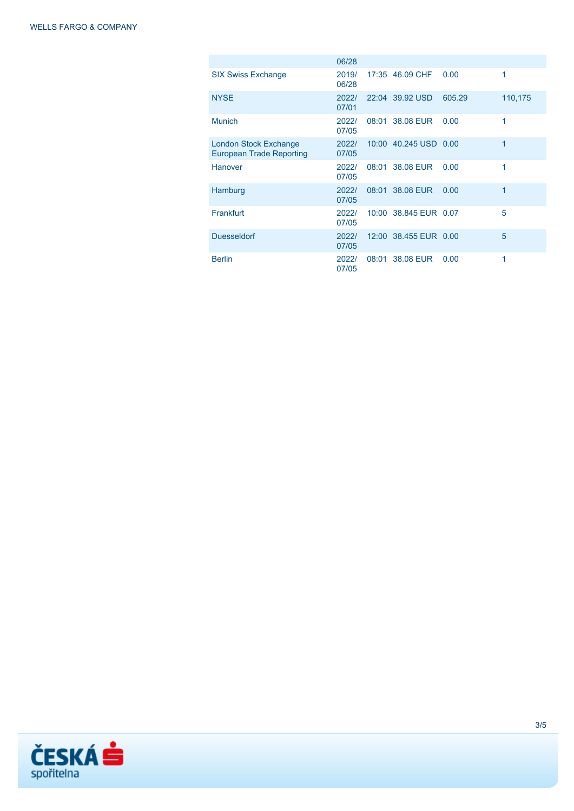|                                                                 | 06/28          |                       |        |         |
|-----------------------------------------------------------------|----------------|-----------------------|--------|---------|
| <b>SIX Swiss Exchange</b>                                       | 2019/<br>06/28 | 17:35 46.09 CHF       | 0.00   | 1       |
| <b>NYSE</b>                                                     | 2022/<br>07/01 | 22:04 39.92 USD       | 605.29 | 110,175 |
| <b>Munich</b>                                                   | 2022/<br>07/05 | 08:01 38.08 EUR       | 0.00   | 1       |
| <b>London Stock Exchange</b><br><b>European Trade Reporting</b> | 2022/<br>07/05 | 10:00 40.245 USD 0.00 |        | 1       |
| Hanover                                                         | 2022/<br>07/05 | 08:01 38.08 EUR       | 0.00   | 1       |
| Hamburg                                                         | 2022/<br>07/05 | 08:01 38.08 EUR       | 0.00   | 1       |
| Frankfurt                                                       | 2022/<br>07/05 | 10:00 38.845 EUR 0.07 |        | 5       |
| <b>Duesseldorf</b>                                              | 2022/<br>07/05 | 12:00 38.455 EUR 0.00 |        | 5       |
| <b>Berlin</b>                                                   | 2022/<br>07/05 | 08:01 38.08 EUR       | 0.00   | 1       |

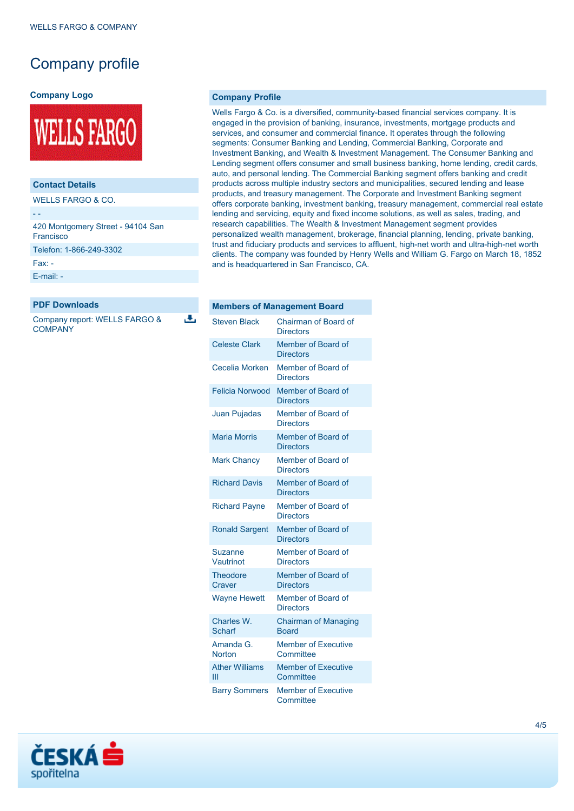### Company profile

#### **Company Logo**



### **Contact Details**

WELLS FARGO & CO.

- - 420 Montgomery Street - 94104 San

Francisco

Telefon: 1-866-249-3302

Fax: -

[E-mail: -](mailto:-)

#### **PDF Downloads**

Company report: WELLS FARGO & **COMPANY** 

J.

#### **Company Profile**

Wells Fargo & Co. is a diversified, community-based financial services company. It is engaged in the provision of banking, insurance, investments, mortgage products and services, and consumer and commercial finance. It operates through the following segments: Consumer Banking and Lending, Commercial Banking, Corporate and Investment Banking, and Wealth & Investment Management. The Consumer Banking and Lending segment offers consumer and small business banking, home lending, credit cards, auto, and personal lending. The Commercial Banking segment offers banking and credit products across multiple industry sectors and municipalities, secured lending and lease products, and treasury management. The Corporate and Investment Banking segment offers corporate banking, investment banking, treasury management, commercial real estate lending and servicing, equity and fixed income solutions, as well as sales, trading, and research capabilities. The Wealth & Investment Management segment provides personalized wealth management, brokerage, financial planning, lending, private banking, trust and fiduciary products and services to affluent, high-net worth and ultra-high-net worth clients. The company was founded by Henry Wells and William G. Fargo on March 18, 1852 and is headquartered in San Francisco, CA.

|                            | <b>Members of Management Board</b>          |
|----------------------------|---------------------------------------------|
| <b>Steven Black</b>        | Chairman of Board of<br><b>Directors</b>    |
| <b>Celeste Clark</b>       | Member of Board of<br><b>Directors</b>      |
| Cecelia Morken             | Member of Board of<br><b>Directors</b>      |
| <b>Felicia Norwood</b>     | Member of Board of<br><b>Directors</b>      |
| Juan Pujadas               | Member of Board of<br><b>Directors</b>      |
| <b>Maria Morris</b>        | Member of Board of<br><b>Directors</b>      |
| <b>Mark Chancy</b>         | Member of Board of<br><b>Directors</b>      |
| <b>Richard Davis</b>       | Member of Board of<br><b>Directors</b>      |
| <b>Richard Payne</b>       | Member of Board of<br><b>Directors</b>      |
| <b>Ronald Sargent</b>      | Member of Board of<br><b>Directors</b>      |
| Suzanne<br>Vautrinot       | Member of Board of<br><b>Directors</b>      |
| <b>Theodore</b><br>Craver  | Member of Board of<br><b>Directors</b>      |
| <b>Wayne Hewett</b>        | Member of Board of<br><b>Directors</b>      |
| Charles W.<br>Scharf       | <b>Chairman of Managing</b><br><b>Board</b> |
| Amanda G.<br><b>Norton</b> | <b>Member of Executive</b><br>Committee     |
| <b>Ather Williams</b><br>Ш | <b>Member of Executive</b><br>Committee     |
| <b>Barry Sommers</b>       | <b>Member of Executive</b><br>Committee     |

# ČESKÁ spořitelna